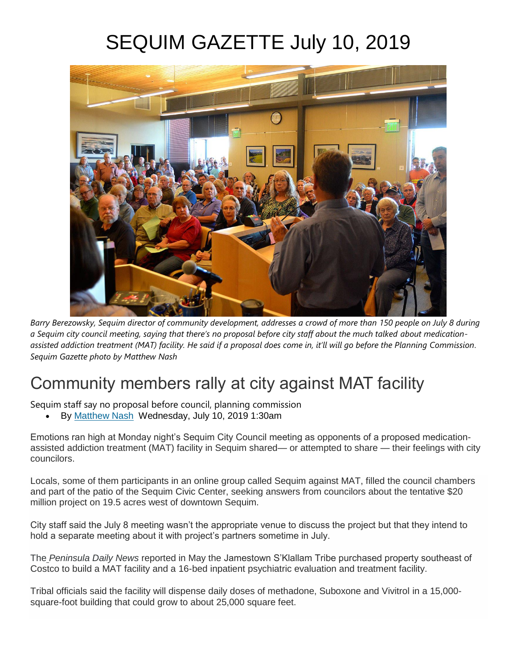# SEQUIM GAZETTE July 10, 2019



*Barry Berezowsky, Sequim director of community development, addresses a crowd of more than 150 people on July 8 during*  a Sequim city council meeting, saying that there's no proposal before city staff about the much talked about medication*assisted addiction treatment (MAT) facility. He said if a proposal does come in, it'll will go before the Planning Commission. Sequim Gazette photo by Matthew Nash*

# Community members rally at city against MAT facility

Sequim staff say no proposal before council, planning commission

• By [Matthew Nash](https://www.sequimgazette.com/author/250653591/) Wednesday, July 10, 2019 1:30am

Emotions ran high at Monday night's Sequim City Council meeting as opponents of a proposed medicationassisted addiction treatment (MAT) facility in Sequim shared— or attempted to share — their feelings with city councilors.

Locals, some of them participants in an online group called Sequim against MAT, filled the council chambers and part of the patio of the Sequim Civic Center, seeking answers from councilors about the tentative \$20 million project on 19.5 acres west of downtown Sequim.

City staff said the July 8 meeting wasn't the appropriate venue to discuss the project but that they intend to hold a separate meeting about it with project's partners sometime in July.

The *[Peninsula Daily News](https://www.peninsuladailynews.com/news/joint-olympic-medical-jefferson-opioid-clinic-planned-in-sequim/)* reported in May the Jamestown S'Klallam Tribe purchased property southeast of Costco to build a MAT facility and a 16-bed inpatient psychiatric evaluation and treatment facility.

Tribal officials said the facility will dispense daily doses of methadone, Suboxone and Vivitrol in a 15,000 square-foot building that could grow to about 25,000 square feet.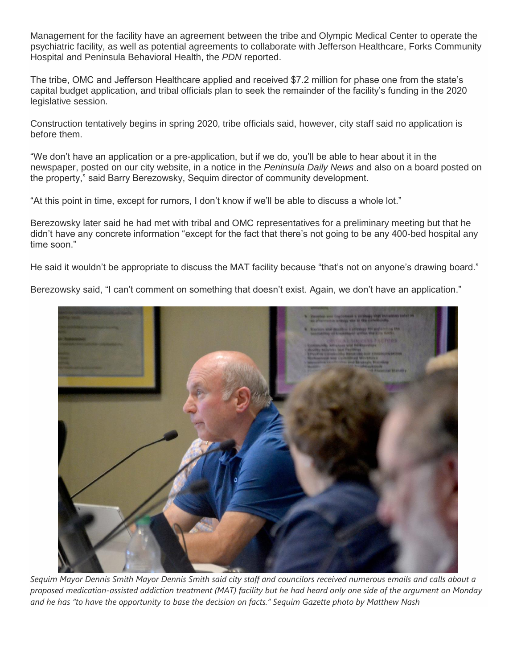Management for the facility have an agreement between the tribe and Olympic Medical Center to operate the psychiatric facility, as well as potential agreements to collaborate with Jefferson Healthcare, Forks Community Hospital and Peninsula Behavioral Health, the *PDN* reported.

The tribe, OMC and Jefferson Healthcare applied and received \$7.2 million for phase one from the state's capital budget application, and tribal officials plan to seek the remainder of the facility's funding in the 2020 legislative session.

Construction tentatively begins in spring 2020, tribe officials said, however, city staff said no application is before them.

"We don't have an application or a pre-application, but if we do, you'll be able to hear about it in the newspaper, posted on our city website, in a notice in the *Peninsula Daily News* and also on a board posted on the property," said Barry Berezowsky, Sequim director of community development.

"At this point in time, except for rumors, I don't know if we'll be able to discuss a whole lot."

Berezowsky later said he had met with tribal and OMC representatives for a preliminary meeting but that he didn't have any concrete information "except for the fact that there's not going to be any 400-bed hospital any time soon."

He said it wouldn't be appropriate to discuss the MAT facility because "that's not on anyone's drawing board."

Berezowsky said, "I can't comment on something that doesn't exist. Again, we don't have an application."



*Sequim Mayor Dennis Smith Mayor Dennis Smith said city staff and councilors received numerous emails and calls about a proposed medication-assisted addiction treatment (MAT) facility but he had heard only one side of the argument on Monday and he has "to have the opportunity to base the decision on facts." Sequim Gazette photo by Matthew Nash*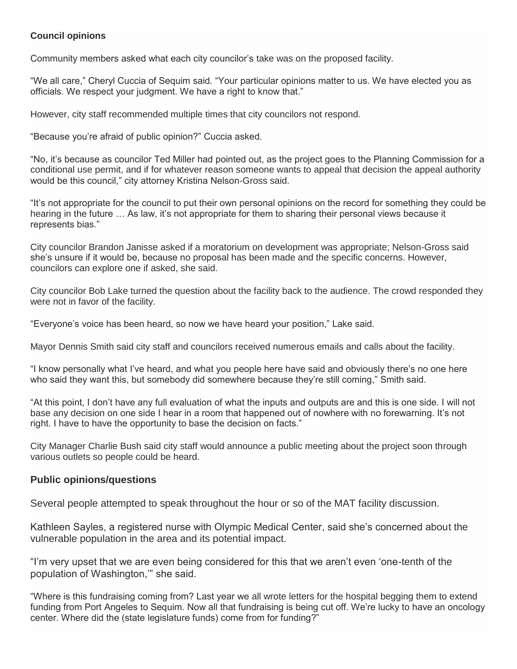#### **Council opinions**

Community members asked what each city councilor's take was on the proposed facility.

"We all care," Cheryl Cuccia of Sequim said. "Your particular opinions matter to us. We have elected you as officials. We respect your judgment. We have a right to know that."

However, city staff recommended multiple times that city councilors not respond.

"Because you're afraid of public opinion?" Cuccia asked.

"No, it's because as councilor Ted Miller had pointed out, as the project goes to the Planning Commission for a conditional use permit, and if for whatever reason someone wants to appeal that decision the appeal authority would be this council," city attorney Kristina Nelson-Gross said.

"It's not appropriate for the council to put their own personal opinions on the record for something they could be hearing in the future … As law, it's not appropriate for them to sharing their personal views because it represents bias."

City councilor Brandon Janisse asked if a moratorium on development was appropriate; Nelson-Gross said she's unsure if it would be, because no proposal has been made and the specific concerns. However, councilors can explore one if asked, she said.

City councilor Bob Lake turned the question about the facility back to the audience. The crowd responded they were not in favor of the facility.

"Everyone's voice has been heard, so now we have heard your position," Lake said.

Mayor Dennis Smith said city staff and councilors received numerous emails and calls about the facility.

"I know personally what I've heard, and what you people here have said and obviously there's no one here who said they want this, but somebody did somewhere because they're still coming," Smith said.

"At this point, I don't have any full evaluation of what the inputs and outputs are and this is one side. I will not base any decision on one side I hear in a room that happened out of nowhere with no forewarning. It's not right. I have to have the opportunity to base the decision on facts."

City Manager Charlie Bush said city staff would announce a public meeting about the project soon through various outlets so people could be heard.

### **Public opinions/questions**

Several people attempted to speak throughout the hour or so of the MAT facility discussion.

Kathleen Sayles, a registered nurse with Olympic Medical Center, said she's concerned about the vulnerable population in the area and its potential impact.

"I'm very upset that we are even being considered for this that we aren't even 'one-tenth of the population of Washington,'" she said.

"Where is this fundraising coming from? Last year we all wrote letters for the hospital begging them to extend funding from Port Angeles to Sequim. Now all that fundraising is being cut off. We're lucky to have an oncology center. Where did the (state legislature funds) come from for funding?"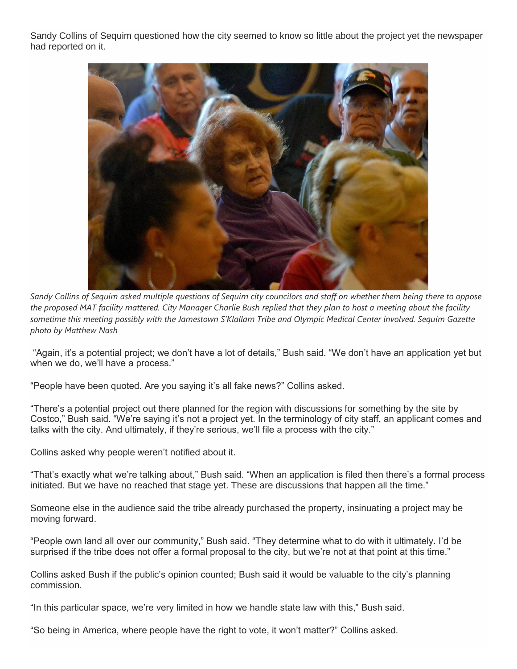Sandy Collins of Sequim questioned how the city seemed to know so little about the project yet the newspaper had reported on it.



*Sandy Collins of Sequim asked multiple questions of Sequim city councilors and staff on whether them being there to oppose the proposed MAT facility mattered. City Manager Charlie Bush replied that they plan to host a meeting about the facility sometime this meeting possibly with the Jamestown S'Klallam Tribe and Olympic Medical Center involved. Sequim Gazette photo by Matthew Nash*

"Again, it's a potential project; we don't have a lot of details," Bush said. "We don't have an application yet but when we do, we'll have a process."

"People have been quoted. Are you saying it's all fake news?" Collins asked.

"There's a potential project out there planned for the region with discussions for something by the site by Costco," Bush said. "We're saying it's not a project yet. In the terminology of city staff, an applicant comes and talks with the city. And ultimately, if they're serious, we'll file a process with the city."

Collins asked why people weren't notified about it.

"That's exactly what we're talking about," Bush said. "When an application is filed then there's a formal process initiated. But we have no reached that stage yet. These are discussions that happen all the time."

Someone else in the audience said the tribe already purchased the property, insinuating a project may be moving forward.

"People own land all over our community," Bush said. "They determine what to do with it ultimately. I'd be surprised if the tribe does not offer a formal proposal to the city, but we're not at that point at this time."

Collins asked Bush if the public's opinion counted; Bush said it would be valuable to the city's planning commission.

"In this particular space, we're very limited in how we handle state law with this," Bush said.

"So being in America, where people have the right to vote, it won't matter?" Collins asked.